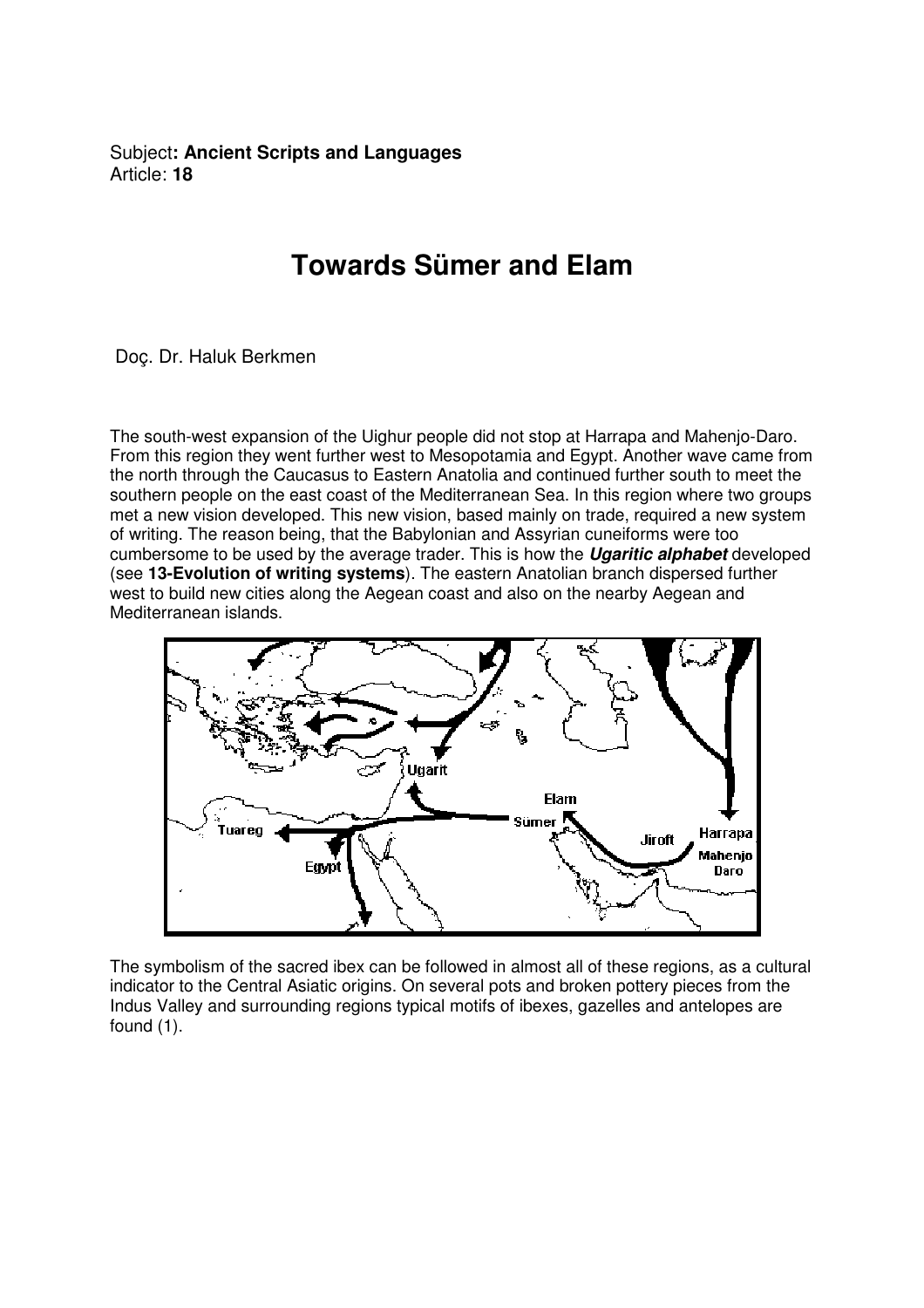Subject**: Ancient Scripts and Languages**  Article: **18**

## **Towards Sümer and Elam**

Doç. Dr. Haluk Berkmen

The south-west expansion of the Uighur people did not stop at Harrapa and Mahenjo-Daro. From this region they went further west to Mesopotamia and Egypt. Another wave came from the north through the Caucasus to Eastern Anatolia and continued further south to meet the southern people on the east coast of the Mediterranean Sea. In this region where two groups met a new vision developed. This new vision, based mainly on trade, required a new system of writing. The reason being, that the Babylonian and Assyrian cuneiforms were too cumbersome to be used by the average trader. This is how the **Ugaritic alphabet** developed (see **13-Evolution of writing systems**). The eastern Anatolian branch dispersed further west to build new cities along the Aegean coast and also on the nearby Aegean and Mediterranean islands.



The symbolism of the sacred ibex can be followed in almost all of these regions, as a cultural indicator to the Central Asiatic origins. On several pots and broken pottery pieces from the Indus Valley and surrounding regions typical motifs of ibexes, gazelles and antelopes are found (1).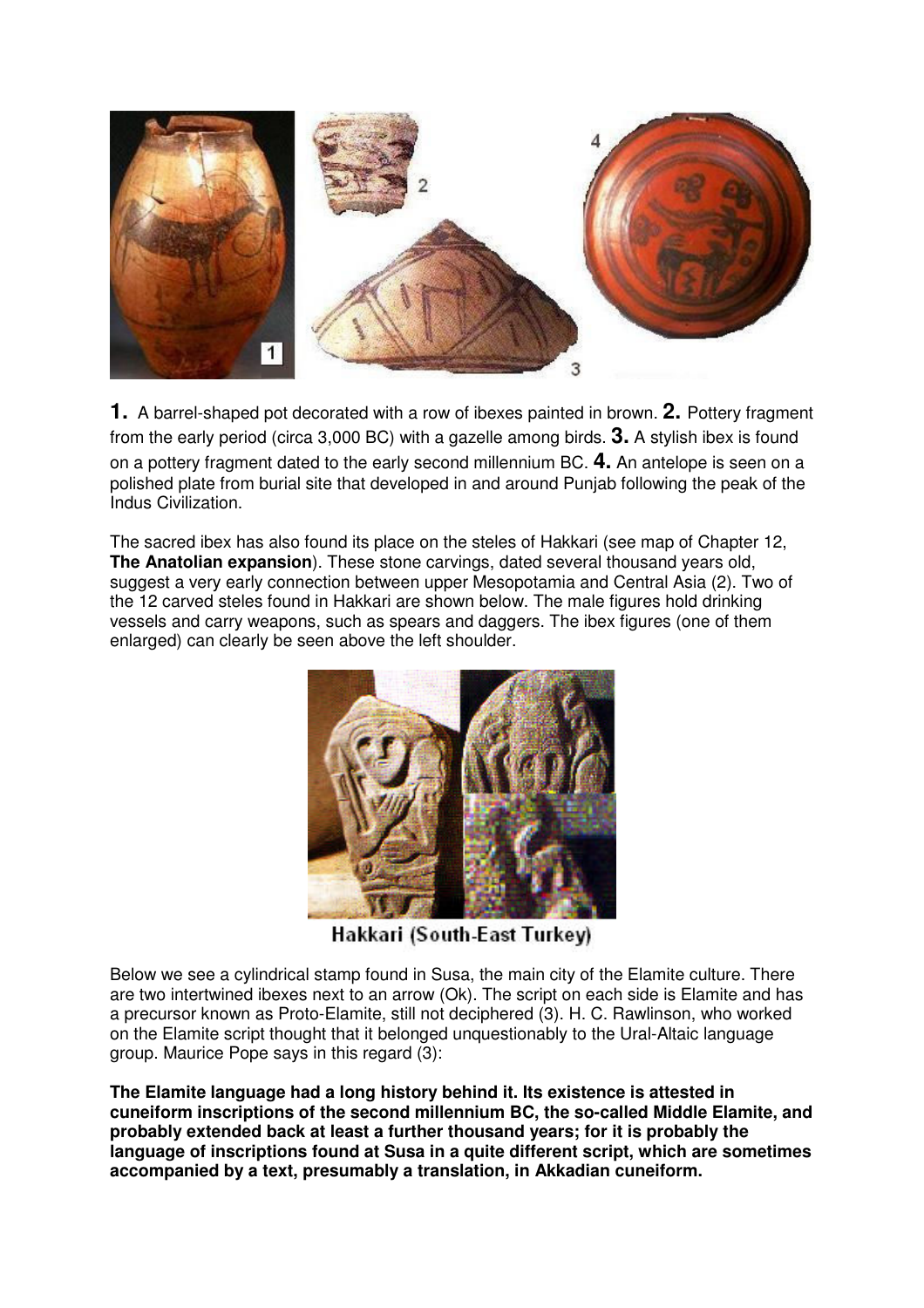

**1.** A barrel-shaped pot decorated with a row of ibexes painted in brown. **2.** Pottery fragment from the early period (circa 3,000 BC) with a gazelle among birds. **3.** A stylish ibex is found on a pottery fragment dated to the early second millennium BC. **4.** An antelope is seen on a polished plate from burial site that developed in and around Punjab following the peak of the Indus Civilization.

The sacred ibex has also found its place on the steles of Hakkari (see map of Chapter 12, **The Anatolian expansion**). These stone carvings, dated several thousand years old, suggest a very early connection between upper Mesopotamia and Central Asia (2). Two of the 12 carved steles found in Hakkari are shown below. The male figures hold drinking vessels and carry weapons, such as spears and daggers. The ibex figures (one of them enlarged) can clearly be seen above the left shoulder.



Hakkari (South-East Turkey)

Below we see a cylindrical stamp found in Susa, the main city of the Elamite culture. There are two intertwined ibexes next to an arrow (Ok). The script on each side is Elamite and has a precursor known as Proto-Elamite, still not deciphered (3). H. C. Rawlinson, who worked on the Elamite script thought that it belonged unquestionably to the Ural-Altaic language group. Maurice Pope says in this regard (3):

**The Elamite language had a long history behind it. Its existence is attested in cuneiform inscriptions of the second millennium BC, the so-called Middle Elamite, and probably extended back at least a further thousand years; for it is probably the language of inscriptions found at Susa in a quite different script, which are sometimes accompanied by a text, presumably a translation, in Akkadian cuneiform.**